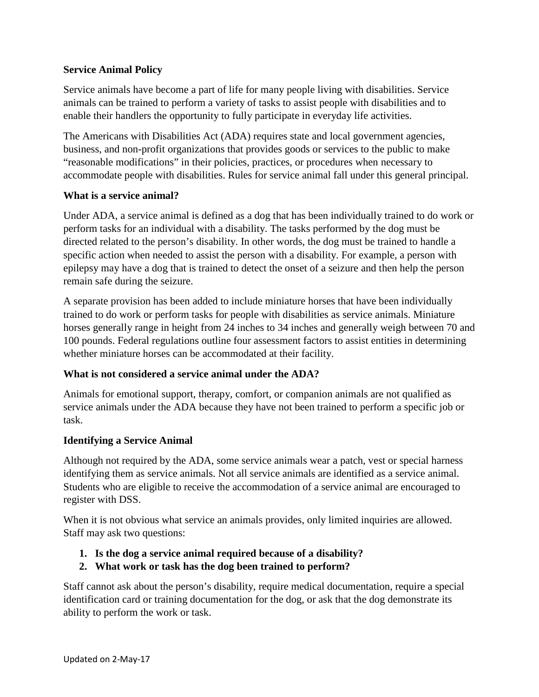# **Service Animal Policy**

Service animals have become a part of life for many people living with disabilities. Service animals can be trained to perform a variety of tasks to assist people with disabilities and to enable their handlers the opportunity to fully participate in everyday life activities.

The Americans with Disabilities Act (ADA) requires state and local government agencies, business, and non-profit organizations that provides goods or services to the public to make "reasonable modifications" in their policies, practices, or procedures when necessary to accommodate people with disabilities. Rules for service animal fall under this general principal.

## **What is a service animal?**

Under ADA, a service animal is defined as a dog that has been individually trained to do work or perform tasks for an individual with a disability. The tasks performed by the dog must be directed related to the person's disability. In other words, the dog must be trained to handle a specific action when needed to assist the person with a disability. For example, a person with epilepsy may have a dog that is trained to detect the onset of a seizure and then help the person remain safe during the seizure.

A separate provision has been added to include miniature horses that have been individually trained to do work or perform tasks for people with disabilities as service animals. Miniature horses generally range in height from 24 inches to 34 inches and generally weigh between 70 and 100 pounds. Federal regulations outline four assessment factors to assist entities in determining whether miniature horses can be accommodated at their facility.

## **What is not considered a service animal under the ADA?**

Animals for emotional support, therapy, comfort, or companion animals are not qualified as service animals under the ADA because they have not been trained to perform a specific job or task.

## **Identifying a Service Animal**

Although not required by the ADA, some service animals wear a patch, vest or special harness identifying them as service animals. Not all service animals are identified as a service animal. Students who are eligible to receive the accommodation of a service animal are encouraged to register with DSS.

When it is not obvious what service an animals provides, only limited inquiries are allowed. Staff may ask two questions:

- **1. Is the dog a service animal required because of a disability?**
- **2. What work or task has the dog been trained to perform?**

Staff cannot ask about the person's disability, require medical documentation, require a special identification card or training documentation for the dog, or ask that the dog demonstrate its ability to perform the work or task.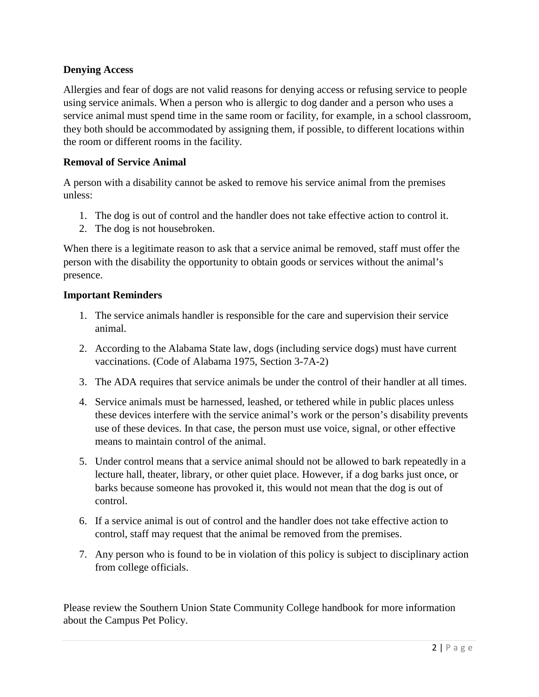## **Denying Access**

Allergies and fear of dogs are not valid reasons for denying access or refusing service to people using service animals. When a person who is allergic to dog dander and a person who uses a service animal must spend time in the same room or facility, for example, in a school classroom, they both should be accommodated by assigning them, if possible, to different locations within the room or different rooms in the facility.

## **Removal of Service Animal**

A person with a disability cannot be asked to remove his service animal from the premises unless:

- 1. The dog is out of control and the handler does not take effective action to control it.
- 2. The dog is not housebroken.

When there is a legitimate reason to ask that a service animal be removed, staff must offer the person with the disability the opportunity to obtain goods or services without the animal's presence.

## **Important Reminders**

- 1. The service animals handler is responsible for the care and supervision their service animal.
- 2. According to the Alabama State law, dogs (including service dogs) must have current vaccinations. (Code of Alabama 1975, Section 3-7A-2)
- 3. The ADA requires that service animals be under the control of their handler at all times.
- 4. Service animals must be harnessed, leashed, or tethered while in public places unless these devices interfere with the service animal's work or the person's disability prevents use of these devices. In that case, the person must use voice, signal, or other effective means to maintain control of the animal.
- 5. Under control means that a service animal should not be allowed to bark repeatedly in a lecture hall, theater, library, or other quiet place. However, if a dog barks just once, or barks because someone has provoked it, this would not mean that the dog is out of control.
- 6. If a service animal is out of control and the handler does not take effective action to control, staff may request that the animal be removed from the premises.
- 7. Any person who is found to be in violation of this policy is subject to disciplinary action from college officials.

Please review the Southern Union State Community College handbook for more information about the Campus Pet Policy.